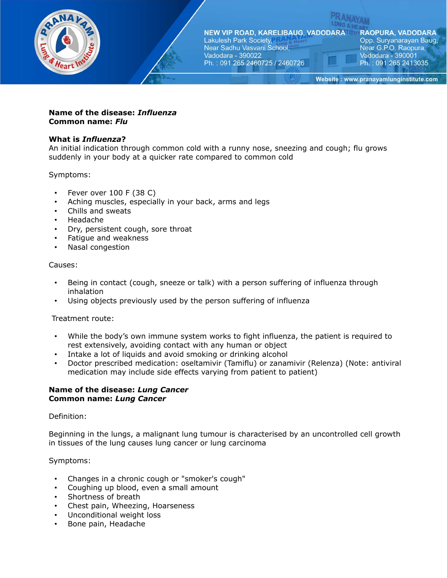

**RAOPURA, VADODARA** Opp. Suryanarayan Baug, Near G.P.O. Raopura, Vadodara - 390001 Ph.: 091 265 2413035

Website: www.pranayamlunginstitute.com

## **Name of the disease:** *Influenza* **Common name:** *Flu*

## **What is** *Influenza***?**

An initial indication through common cold with a runny nose, sneezing and cough; flu grows suddenly in your body at a quicker rate compared to common cold

Symptoms:

- Fever over 100 F (38 C)
- Aching muscles, especially in your back, arms and legs
- Chills and sweats
- Headache
- Dry, persistent cough, sore throat
- Fatigue and weakness
- Nasal congestion

### Causes:

- Being in contact (cough, sneeze or talk) with a person suffering of influenza through inhalation
- Using objects previously used by the person suffering of influenza

Treatment route:

- While the body's own immune system works to fight influenza, the patient is required to rest extensively, avoiding contact with any human or object
- Intake a lot of liquids and avoid smoking or drinking alcohol
- Doctor prescribed medication: oseltamivir (Tamiflu) or zanamivir (Relenza) (Note: antiviral medication may include side effects varying from patient to patient)

### **Name of the disease:** *Lung Cancer* **Common name:** *Lung Cancer*

### Definition:

Beginning in the lungs, a malignant lung tumour is characterised by an uncontrolled cell growth in tissues of the lung causes lung cancer or lung carcinoma

### Symptoms:

- Changes in a chronic cough or "smoker's cough"
- Coughing up blood, even a small amount
- Shortness of breath
- Chest pain, Wheezing, Hoarseness
- Unconditional weight loss
- Bone pain, Headache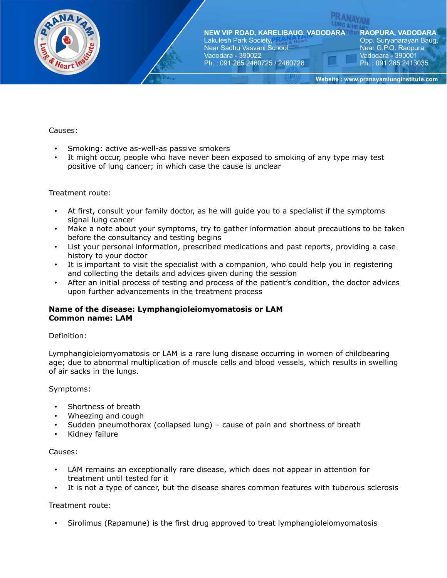

**RAOPURA, VADODARA** Opp. Suryanarayan Baug, Near G.P.O. Raopura, Vadodara - 390001 Ph.: 091 265 2413035

Website: www.pranayamlunginstitute.com

## Causes:

- Smoking: active as-well-as passive smokers
- It might occur, people who have never been exposed to smoking of any type may test positive of lung cancer; in which case the cause is unclear

### Treatment route:

- At first, consult your family doctor, as he will guide you to a specialist if the symptoms signal lung cancer
- Make a note about your symptoms, try to gather information about precautions to be taken before the consultancy and testing begins
- List your personal information, prescribed medications and past reports, providing a case history to your doctor
- It is important to visit the specialist with a companion, who could help you in registering and collecting the details and advices given during the session
- After an initial process of testing and process of the patient's condition, the doctor advices upon further advancements in the treatment process

### **Name of the disease: Lymphangioleiomyomatosis or LAM Common name: LAM**

### Definition:

Lymphangioleiomyomatosis or LAM is a rare lung disease occurring in women of childbearing age; due to abnormal multiplication of muscle cells and blood vessels, which results in swelling of air sacks in the lungs.

### Symptoms:

- Shortness of breath
- Wheezing and cough
- Sudden pneumothorax (collapsed lung) cause of pain and shortness of breath
- Kidney failure

### Causes:

- LAM remains an exceptionally rare disease, which does not appear in attention for treatment until tested for it
- It is not a type of cancer, but the disease shares common features with tuberous sclerosis

### Treatment route:

• Sirolimus (Rapamune) is the first drug approved to treat lymphangioleiomyomatosis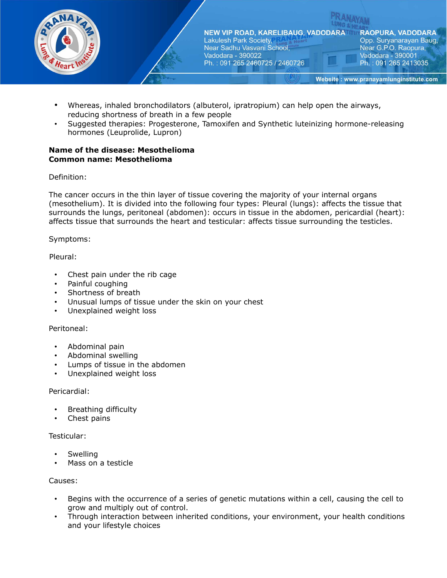

- Whereas, inhaled bronchodilators (albuterol, ipratropium) can help open the airways, reducing shortness of breath in a few people
- Suggested therapies: Progesterone, Tamoxifen and Synthetic luteinizing hormone-releasing hormones (Leuprolide, Lupron)

## **Name of the disease: Mesothelioma Common name: Mesothelioma**

Definition:

The cancer occurs in the thin layer of tissue covering the majority of your internal organs (mesothelium). It is divided into the following four types: Pleural (lungs): affects the tissue that surrounds the lungs, peritoneal (abdomen): occurs in tissue in the abdomen, pericardial (heart): affects tissue that surrounds the heart and testicular: affects tissue surrounding the testicles.

Symptoms:

Pleural:

- Chest pain under the rib cage
- Painful coughing
- Shortness of breath
- Unusual lumps of tissue under the skin on your chest
- Unexplained weight loss

### Peritoneal:

- Abdominal pain
- Abdominal swelling
- Lumps of tissue in the abdomen
- Unexplained weight loss

### Pericardial:

- Breathing difficulty
- Chest pains

### Testicular:

- **Swelling**
- Mass on a testicle

### Causes:

- Begins with the occurrence of a series of genetic mutations within a cell, causing the cell to grow and multiply out of control.
- Through interaction between inherited conditions, your environment, your health conditions and your lifestyle choices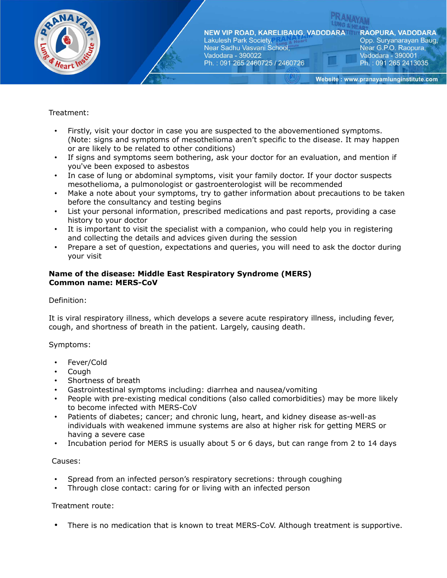

**RAOPURA, VADODARA** Opp. Suryanarayan Baug, Near G.P.O. Raopura, Vadodara - 390001 Ph.: 091 265 2413035

Website: www.pranayamlunginstitute.com

# Treatment:

- Firstly, visit your doctor in case you are suspected to the abovementioned symptoms. (Note: signs and symptoms of mesothelioma aren't specific to the disease. It may happen or are likely to be related to other conditions)
- If signs and symptoms seem bothering, ask your doctor for an evaluation, and mention if you've been exposed to asbestos
- In case of lung or abdominal symptoms, visit your family doctor. If your doctor suspects mesothelioma, a pulmonologist or gastroenterologist will be recommended
- Make a note about your symptoms, try to gather information about precautions to be taken before the consultancy and testing begins
- List your personal information, prescribed medications and past reports, providing a case history to your doctor
- It is important to visit the specialist with a companion, who could help you in registering and collecting the details and advices given during the session
- Prepare a set of question, expectations and queries, you will need to ask the doctor during your visit

## **Name of the disease: Middle East Respiratory Syndrome (MERS) Common name: MERS-CoV**

### Definition:

It is viral respiratory illness, which develops a severe acute respiratory illness, including fever, cough, and shortness of breath in the patient. Largely, causing death.

### Symptoms:

- Fever/Cold
- Cough
- Shortness of breath
- Gastrointestinal symptoms including: diarrhea and nausea/vomiting
- People with pre-existing medical conditions (also called comorbidities) may be more likely to become infected with MERS-CoV
- Patients of diabetes; cancer; and chronic lung, heart, and kidney disease as-well-as individuals with weakened immune systems are also at higher risk for getting MERS or having a severe case
- Incubation period for MERS is usually about 5 or 6 days, but can range from 2 to 14 days

### Causes:

- Spread from an infected person's respiratory secretions: through coughing
- Through close contact: caring for or living with an infected person

### Treatment route:

• There is no medication that is known to treat MERS-CoV. Although treatment is supportive.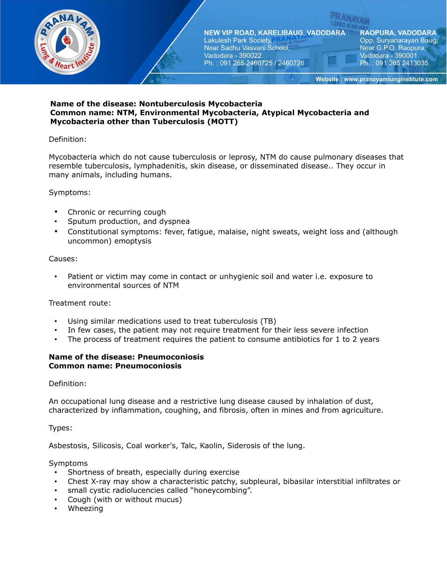

**RAOPURA, VADODARA** Opp. Suryanarayan Baug, Near G.P.O. Raopura, Vadodara - 390001 Ph.: 091 265 2413035

Website: www.pranayamlunginstitute.com

### **Name of the disease: Nontuberculosis Mycobacteria Common name: NTM, Environmental Mycobacteria, Atypical Mycobacteria and Mycobacteria other than Tuberculosis (MOTT)**

## Definition:

Mycobacteria which do not cause tuberculosis or leprosy, NTM do cause pulmonary diseases that resemble tuberculosis, lymphadenitis, skin disease, or disseminated disease.. They occur in many animals, including humans.

# Symptoms:

- Chronic or recurring cough
- Sputum production, and dyspnea
- Constitutional symptoms: fever, fatigue, malaise, night sweats, weight loss and (although uncommon) emoptysis

### Causes:

Patient or victim may come in contact or unhygienic soil and water i.e. exposure to environmental sources of NTM

### Treatment route:

- Using similar medications used to treat tuberculosis (TB)
- In few cases, the patient may not require treatment for their less severe infection
- The process of treatment requires the patient to consume antibiotics for 1 to 2 years

### **Name of the disease: Pneumoconiosis Common name: Pneumoconiosis**

Definition:

An occupational lung disease and a restrictive lung disease caused by inhalation of dust, characterized by inflammation, coughing, and fibrosis, often in mines and from agriculture.

Types:

Asbestosis, Silicosis, Coal worker's, Talc, Kaolin, Siderosis of the lung.

### Symptoms

- Shortness of breath, especially during exercise
- Chest X-ray may show a characteristic patchy, subpleural, bibasilar interstitial infiltrates or
- small cystic radiolucencies called "honeycombing".
- Cough (with or without mucus)
- Wheezing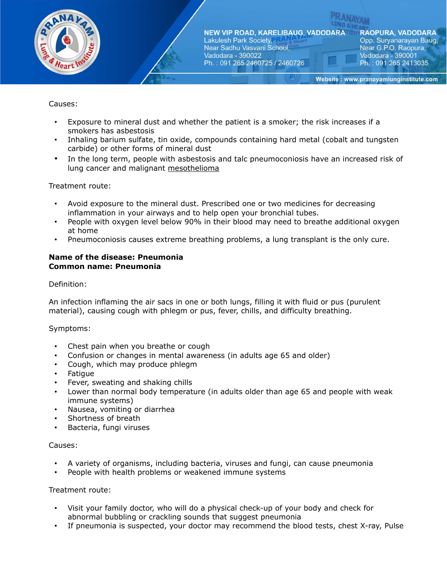

# Causes:

- Exposure to mineral dust and whether the patient is a smoker; the risk increases if a smokers has asbestosis
- Inhaling barium sulfate, tin oxide, compounds containing hard metal (cobalt and tungsten carbide) or other forms of mineral dust
- In the long term, people with asbestosis and talc pneumoconiosis have an increased risk of lung cancer and malignant [mesothelioma](https://www.drugs.com/mesothelioma.html)

### Treatment route:

- Avoid exposure to the mineral dust. Prescribed one or two medicines for decreasing inflammation in your airways and to help open your bronchial tubes.
- People with oxygen level below 90% in their blood may need to breathe additional oxygen at home
- Pneumoconiosis causes extreme breathing problems, a lung transplant is the only cure.

#### **Name of the disease: Pneumonia Common name: Pneumonia**

### Definition:

An infection inflaming the air sacs in one or both lungs, filling it with fluid or pus (purulent material), causing cough with phlegm or pus, fever, chills, and difficulty breathing.

#### Symptoms:

- Chest pain when you breathe or cough
- Confusion or changes in mental awareness (in adults age 65 and older)
- Cough, which may produce phlegm
- Fatigue
- Fever, sweating and shaking chills
- Lower than normal body temperature (in adults older than age 65 and people with weak immune systems)
- Nausea, vomiting or diarrhea
- Shortness of breath
- Bacteria, fungi viruses

#### Causes:

- A variety of organisms, including bacteria, viruses and fungi, can cause pneumonia
- People with health problems or weakened immune systems

- Visit your family doctor, who will do a physical check-up of your body and check for abnormal bubbling or crackling sounds that suggest pneumonia
- If pneumonia is suspected, your doctor may recommend the blood tests, chest X-ray, Pulse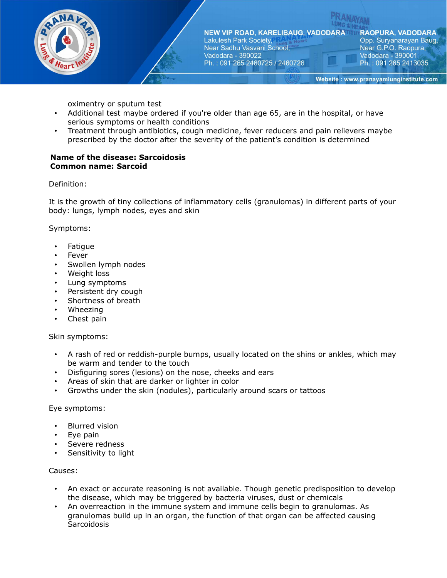

**RAOPURA, VADODARA** Opp. Suryanarayan Baug, Near G.P.O. Raopura, Vadodara - 390001 Ph.: 091 265 2413035

Website: www.pranayamlunginstitute.com

oximentry or sputum test

- Additional test maybe ordered if you're older than age 65, are in the hospital, or have serious symptoms or health conditions
- Treatment through antibiotics, cough medicine, fever reducers and pain relievers maybe prescribed by the doctor after the severity of the patient's condition is determined

#### **Name of the disease: Sarcoidosis Common name: Sarcoid**

Definition:

It is the growth of tiny collections of inflammatory cells (granulomas) in different parts of your body: lungs, lymph nodes, eyes and skin

Symptoms:

- **Fatigue**
- **Fever**
- Swollen lymph nodes
- Weight loss
- Lung symptoms
- Persistent dry cough
- Shortness of breath
- Wheezing
- Chest pain

### Skin symptoms:

- A rash of red or reddish-purple bumps, usually located on the shins or ankles, which may be warm and tender to the touch
- Disfiguring sores (lesions) on the nose, cheeks and ears
- Areas of skin that are darker or lighter in color
- Growths under the skin (nodules), particularly around scars or tattoos

#### Eye symptoms:

- **Blurred vision**
- Eye pain
- Severe redness
- Sensitivity to light

#### Causes:

- An exact or accurate reasoning is not available. Though genetic predisposition to develop the disease, which may be triggered by bacteria viruses, dust or chemicals
- An overreaction in the immune system and immune cells begin to granulomas. As granulomas build up in an organ, the function of that organ can be affected causing **Sarcoidosis**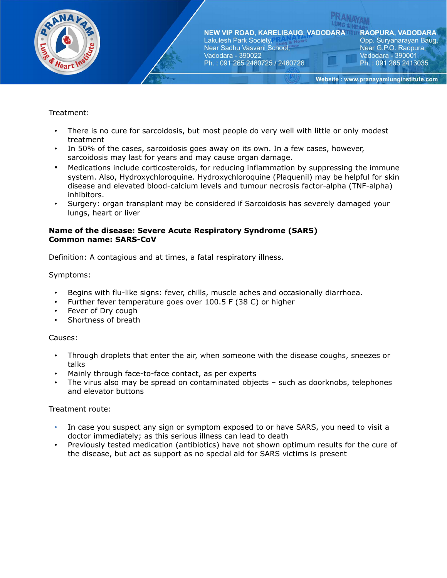

# Treatment:

- There is no cure for sarcoidosis, but most people do very well with little or only modest treatment
- In 50% of the cases, sarcoidosis goes away on its own. In a few cases, however, sarcoidosis may last for years and may cause organ damage.
- Medications include corticosteroids, for reducing inflammation by suppressing the immune system. Also, Hydroxychloroquine. Hydroxychloroquine (Plaquenil) may be helpful for skin disease and elevated blood-calcium levels and tumour necrosis factor-alpha (TNF-alpha) inhibitors.
- Surgery: organ transplant may be considered if Sarcoidosis has severely damaged your lungs, heart or liver

### **Name of the disease: Severe Acute Respiratory Syndrome (SARS) Common name: SARS-CoV**

Definition: A contagious and at times, a fatal respiratory illness.

# Symptoms:

- Begins with flu-like signs: fever, chills, muscle aches and occasionally diarrhoea.
- Further fever temperature goes over 100.5 F (38 C) or higher
- Fever of Dry cough
- Shortness of breath

### Causes:

- Through droplets that enter the air, when someone with the disease coughs, sneezes or talks
- Mainly through face-to-face contact, as per experts
- The virus also may be spread on contaminated objects  $-$  such as doorknobs, telephones and elevator buttons

- In case you suspect any sign or symptom exposed to or have SARS, you need to visit a doctor immediately; as this serious illness can lead to death
- Previously tested medication (antibiotics) have not shown optimum results for the cure of the disease, but act as support as no special aid for SARS victims is present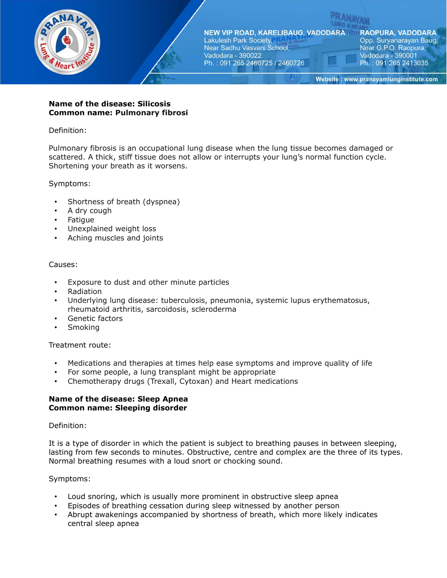

### **Name of the disease: Silicosis Common name: Pulmonary fibrosi**

## Definition:

Pulmonary fibrosis is an occupational lung disease when the lung tissue becomes damaged or scattered. A thick, stiff tissue does not allow or interrupts your lung's normal function cycle. Shortening your breath as it worsens.

### Symptoms:

- Shortness of breath (dyspnea)
- A dry cough
- Fatigue
- Unexplained weight loss
- Aching muscles and joints

### Causes:

- Exposure to dust and other minute particles
- Radiation
- Underlying lung disease: tuberculosis, pneumonia, systemic lupus erythematosus, rheumatoid arthritis, sarcoidosis, scleroderma
- Genetic factors
- Smoking

### Treatment route:

- Medications and therapies at times help ease symptoms and improve quality of life
- For some people, a lung transplant might be appropriate
- Chemotherapy drugs (Trexall, Cytoxan) and Heart medications

### **Name of the disease: Sleep Apnea Common name: Sleeping disorder**

### Definition:

It is a type of disorder in which the patient is subject to breathing pauses in between sleeping, lasting from few seconds to minutes. Obstructive, centre and complex are the three of its types. Normal breathing resumes with a loud snort or chocking sound.

### Symptoms:

- Loud snoring, which is usually more prominent in obstructive sleep apnea
- Episodes of breathing cessation during sleep witnessed by another person
- Abrupt awakenings accompanied by shortness of breath, which more likely indicates central sleep apnea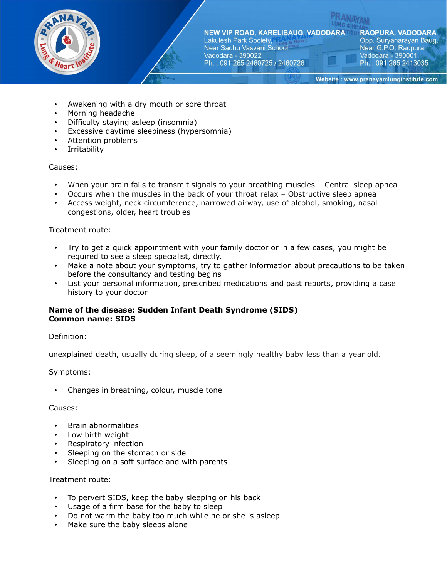

**RAOPURA, VADODARA** Opp. Suryanarayan Baug, Near G.P.O. Raopura, Vadodara - 390001 Ph.: 091 265 2413035

Website: www.pranayamlunginstitute.com

- Awakening with a dry mouth or sore throat
- Morning headache
- Difficulty staying asleep (insomnia)
- Excessive daytime sleepiness (hypersomnia)
- Attention problems
- Irritability

### Causes:

- When your brain fails to transmit signals to your breathing muscles Central sleep apnea
- Occurs when the muscles in the back of your throat relax Obstructive sleep apnea
- Access weight, neck circumference, narrowed airway, use of alcohol, smoking, nasal congestions, older, heart troubles

### Treatment route:

- Try to get a quick appointment with your family doctor or in a few cases, you might be required to see a sleep specialist, directly.
- Make a note about your symptoms, try to gather information about precautions to be taken before the consultancy and testing begins
- List your personal information, prescribed medications and past reports, providing a case history to your doctor

### **Name of the disease: Sudden Infant Death Syndrome (SIDS) Common name: SIDS**

### Definition:

unexplained death, usually during sleep, of a seemingly healthy baby less than a year old.

### Symptoms:

• Changes in breathing, colour, muscle tone

#### Causes:

- Brain abnormalities
- Low birth weight
- Respiratory infection
- Sleeping on the stomach or side
- Sleeping on a soft surface and with parents

- To pervert SIDS, keep the baby sleeping on his back
- Usage of a firm base for the baby to sleep
- Do not warm the baby too much while he or she is asleep
- Make sure the baby sleeps alone